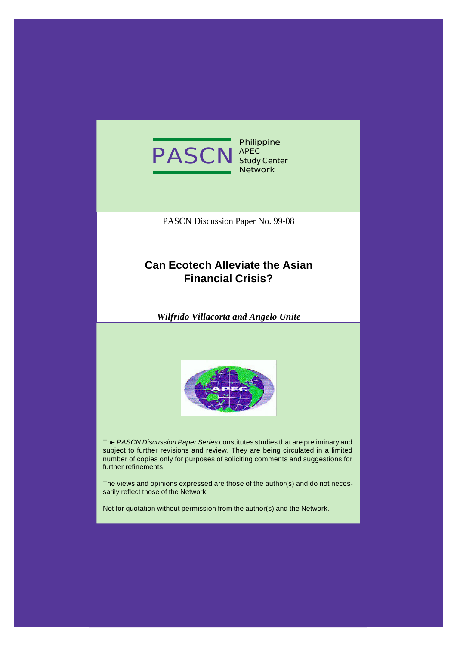

**Philippine Study Center Network**

PASCN Discussion Paper No. 99-08

## **Can Ecotech Alleviate the Asian Financial Crisis?**

*Wilfrido Villacorta and Angelo Unite*



The *PASCN Discussion Paper Series* constitutes studies that are preliminary and subject to further revisions and review. They are being circulated in a limited number of copies only for purposes of soliciting comments and suggestions for further refinements.

The views and opinions expressed are those of the author(s) and do not necessarily reflect those of the Network.

Not for quotation without permission from the author(s) and the Network.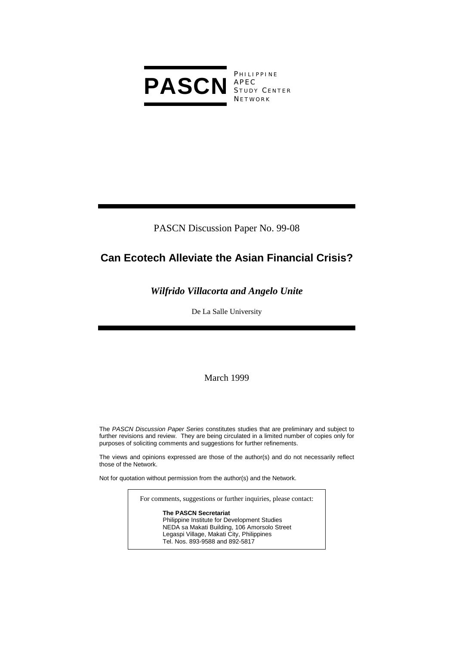

PHILIPPINE S TUDY C ENTER **NETWORK** 

PASCN Discussion Paper No. 99-08

# **Can Ecotech Alleviate the Asian Financial Crisis?**

### *Wilfrido Villacorta and Angelo Unite*

De La Salle University

March 1999

The *PASCN Discussion Paper Series* constitutes studies that are preliminary and subject to further revisions and review. They are being circulated in a limited number of copies only for purposes of soliciting comments and suggestions for further refinements.

The views and opinions expressed are those of the author(s) and do not necessarily reflect those of the Network.

Not for quotation without permission from the author(s) and the Network.

For comments, suggestions or further inquiries, please contact:

**The PASCN Secretariat** Philippine Institute for Development Studies NEDA sa Makati Building, 106 Amorsolo Street Legaspi Village, Makati City, Philippines Tel. Nos. 893-9588 and 892-5817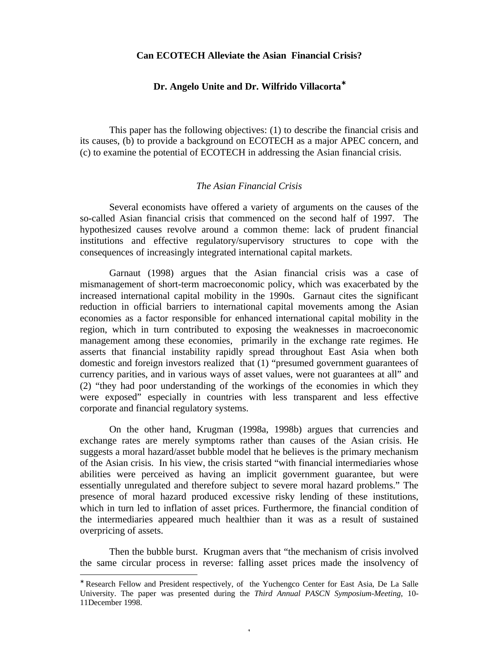### **Can ECOTECH Alleviate the Asian Financial Crisis?**

#### **Dr. Angelo Unite and Dr. Wilfrido Villacorta**<sup>∗</sup>

This paper has the following objectives: (1) to describe the financial crisis and its causes, (b) to provide a background on ECOTECH as a major APEC concern, and (c) to examine the potential of ECOTECH in addressing the Asian financial crisis.

#### *The Asian Financial Crisis*

Several economists have offered a variety of arguments on the causes of the so-called Asian financial crisis that commenced on the second half of 1997. The hypothesized causes revolve around a common theme: lack of prudent financial institutions and effective regulatory/supervisory structures to cope with the consequences of increasingly integrated international capital markets.

Garnaut (1998) argues that the Asian financial crisis was a case of mismanagement of short-term macroeconomic policy, which was exacerbated by the increased international capital mobility in the 1990s. Garnaut cites the significant reduction in official barriers to international capital movements among the Asian economies as a factor responsible for enhanced international capital mobility in the region, which in turn contributed to exposing the weaknesses in macroeconomic management among these economies, primarily in the exchange rate regimes. He asserts that financial instability rapidly spread throughout East Asia when both domestic and foreign investors realized that (1) "presumed government guarantees of currency parities, and in various ways of asset values, were not guarantees at all" and (2) "they had poor understanding of the workings of the economies in which they were exposed" especially in countries with less transparent and less effective corporate and financial regulatory systems.

On the other hand, Krugman (1998a, 1998b) argues that currencies and exchange rates are merely symptoms rather than causes of the Asian crisis. He suggests a moral hazard/asset bubble model that he believes is the primary mechanism of the Asian crisis. In his view, the crisis started "with financial intermediaries whose abilities were perceived as having an implicit government guarantee, but were essentially unregulated and therefore subject to severe moral hazard problems." The presence of moral hazard produced excessive risky lending of these institutions, which in turn led to inflation of asset prices. Furthermore, the financial condition of the intermediaries appeared much healthier than it was as a result of sustained overpricing of assets.

Then the bubble burst. Krugman avers that "the mechanism of crisis involved the same circular process in reverse: falling asset prices made the insolvency of

-

1

<sup>∗</sup> Research Fellow and President respectively, of the Yuchengco Center for East Asia, De La Salle University. The paper was presented during the *Third Annual PASCN Symposium-Meeting*, 10- 11December 1998.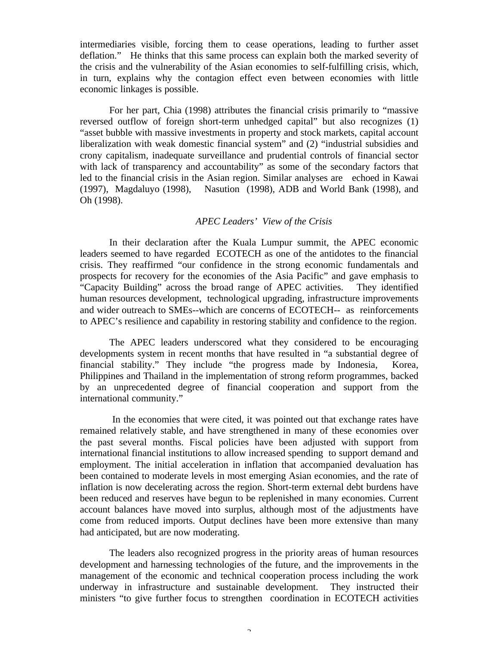intermediaries visible, forcing them to cease operations, leading to further asset deflation." He thinks that this same process can explain both the marked severity of the crisis and the vulnerability of the Asian economies to self-fulfilling crisis, which, in turn, explains why the contagion effect even between economies with little economic linkages is possible.

For her part, Chia (1998) attributes the financial crisis primarily to "massive reversed outflow of foreign short-term unhedged capital" but also recognizes (1) "asset bubble with massive investments in property and stock markets, capital account liberalization with weak domestic financial system" and (2) "industrial subsidies and crony capitalism, inadequate surveillance and prudential controls of financial sector with lack of transparency and accountability" as some of the secondary factors that led to the financial crisis in the Asian region. Similar analyses are echoed in Kawai (1997), Magdaluyo (1998), Nasution (1998), ADB and World Bank (1998), and Oh (1998).

#### *APEC Leaders' View of the Crisis*

In their declaration after the Kuala Lumpur summit, the APEC economic leaders seemed to have regarded ECOTECH as one of the antidotes to the financial crisis. They reaffirmed "our confidence in the strong economic fundamentals and prospects for recovery for the economies of the Asia Pacific" and gave emphasis to "Capacity Building" across the broad range of APEC activities. They identified human resources development, technological upgrading, infrastructure improvements and wider outreach to SMEs--which are concerns of ECOTECH-- as reinforcements to APEC's resilience and capability in restoring stability and confidence to the region.

The APEC leaders underscored what they considered to be encouraging developments system in recent months that have resulted in "a substantial degree of financial stability." They include "the progress made by Indonesia, Korea, Philippines and Thailand in the implementation of strong reform programmes, backed by an unprecedented degree of financial cooperation and support from the international community."

 In the economies that were cited, it was pointed out that exchange rates have remained relatively stable, and have strengthened in many of these economies over the past several months. Fiscal policies have been adjusted with support from international financial institutions to allow increased spending to support demand and employment. The initial acceleration in inflation that accompanied devaluation has been contained to moderate levels in most emerging Asian economies, and the rate of inflation is now decelerating across the region. Short-term external debt burdens have been reduced and reserves have begun to be replenished in many economies. Current account balances have moved into surplus, although most of the adjustments have come from reduced imports. Output declines have been more extensive than many had anticipated, but are now moderating.

The leaders also recognized progress in the priority areas of human resources development and harnessing technologies of the future, and the improvements in the management of the economic and technical cooperation process including the work underway in infrastructure and sustainable development. They instructed their ministers "to give further focus to strengthen coordination in ECOTECH activities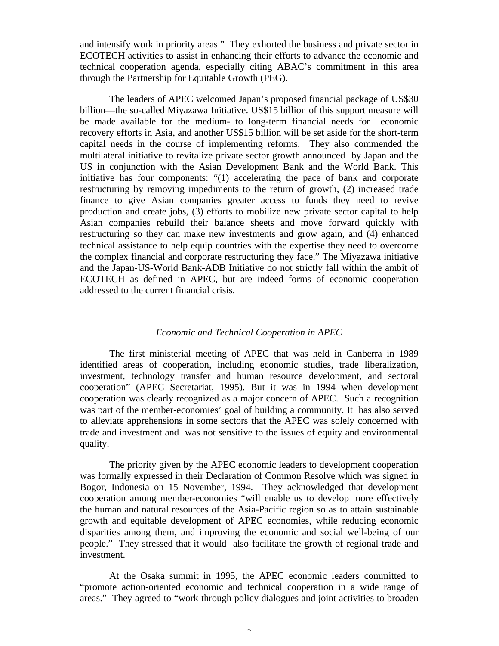and intensify work in priority areas." They exhorted the business and private sector in ECOTECH activities to assist in enhancing their efforts to advance the economic and technical cooperation agenda, especially citing ABAC's commitment in this area through the Partnership for Equitable Growth (PEG).

The leaders of APEC welcomed Japan's proposed financial package of US\$30 billion—the so-called Miyazawa Initiative. US\$15 billion of this support measure will be made available for the medium- to long-term financial needs for economic recovery efforts in Asia, and another US\$15 billion will be set aside for the short-term capital needs in the course of implementing reforms. They also commended the multilateral initiative to revitalize private sector growth announced by Japan and the US in conjunction with the Asian Development Bank and the World Bank. This initiative has four components: "(1) accelerating the pace of bank and corporate restructuring by removing impediments to the return of growth, (2) increased trade finance to give Asian companies greater access to funds they need to revive production and create jobs, (3) efforts to mobilize new private sector capital to help Asian companies rebuild their balance sheets and move forward quickly with restructuring so they can make new investments and grow again, and (4) enhanced technical assistance to help equip countries with the expertise they need to overcome the complex financial and corporate restructuring they face." The Miyazawa initiative and the Japan-US-World Bank-ADB Initiative do not strictly fall within the ambit of ECOTECH as defined in APEC, but are indeed forms of economic cooperation addressed to the current financial crisis.

#### *Economic and Technical Cooperation in APEC*

The first ministerial meeting of APEC that was held in Canberra in 1989 identified areas of cooperation, including economic studies, trade liberalization, investment, technology transfer and human resource development, and sectoral cooperation" (APEC Secretariat, 1995). But it was in 1994 when development cooperation was clearly recognized as a major concern of APEC. Such a recognition was part of the member-economies' goal of building a community. It has also served to alleviate apprehensions in some sectors that the APEC was solely concerned with trade and investment and was not sensitive to the issues of equity and environmental quality.

The priority given by the APEC economic leaders to development cooperation was formally expressed in their Declaration of Common Resolve which was signed in Bogor, Indonesia on 15 November, 1994. They acknowledged that development cooperation among member-economies "will enable us to develop more effectively the human and natural resources of the Asia-Pacific region so as to attain sustainable growth and equitable development of APEC economies, while reducing economic disparities among them, and improving the economic and social well-being of our people." They stressed that it would also facilitate the growth of regional trade and investment.

At the Osaka summit in 1995, the APEC economic leaders committed to "promote action-oriented economic and technical cooperation in a wide range of areas." They agreed to "work through policy dialogues and joint activities to broaden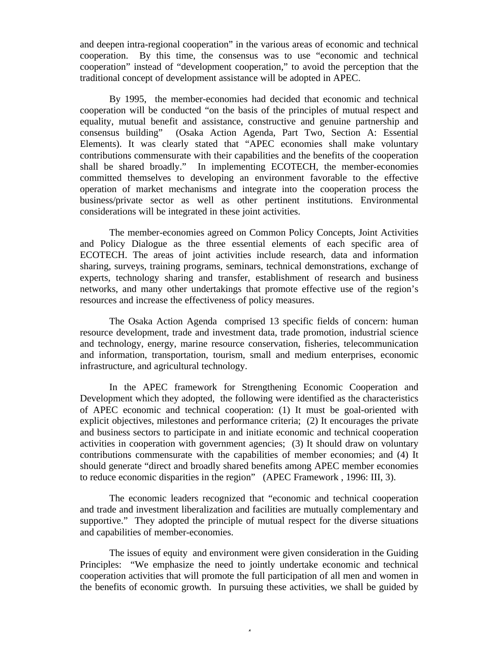and deepen intra-regional cooperation" in the various areas of economic and technical cooperation. By this time, the consensus was to use "economic and technical cooperation" instead of "development cooperation," to avoid the perception that the traditional concept of development assistance will be adopted in APEC.

By 1995, the member-economies had decided that economic and technical cooperation will be conducted "on the basis of the principles of mutual respect and equality, mutual benefit and assistance, constructive and genuine partnership and consensus building" (Osaka Action Agenda, Part Two, Section A: Essential Elements). It was clearly stated that "APEC economies shall make voluntary contributions commensurate with their capabilities and the benefits of the cooperation shall be shared broadly." In implementing ECOTECH, the member-economies committed themselves to developing an environment favorable to the effective operation of market mechanisms and integrate into the cooperation process the business/private sector as well as other pertinent institutions. Environmental considerations will be integrated in these joint activities.

The member-economies agreed on Common Policy Concepts, Joint Activities and Policy Dialogue as the three essential elements of each specific area of ECOTECH. The areas of joint activities include research, data and information sharing, surveys, training programs, seminars, technical demonstrations, exchange of experts, technology sharing and transfer, establishment of research and business networks, and many other undertakings that promote effective use of the region's resources and increase the effectiveness of policy measures.

The Osaka Action Agenda comprised 13 specific fields of concern: human resource development, trade and investment data, trade promotion, industrial science and technology, energy, marine resource conservation, fisheries, telecommunication and information, transportation, tourism, small and medium enterprises, economic infrastructure, and agricultural technology.

In the APEC framework for Strengthening Economic Cooperation and Development which they adopted, the following were identified as the characteristics of APEC economic and technical cooperation: (1) It must be goal-oriented with explicit objectives, milestones and performance criteria; (2) It encourages the private and business sectors to participate in and initiate economic and technical cooperation activities in cooperation with government agencies; (3) It should draw on voluntary contributions commensurate with the capabilities of member economies; and (4) It should generate "direct and broadly shared benefits among APEC member economies to reduce economic disparities in the region" (APEC Framework , 1996: III, 3).

The economic leaders recognized that "economic and technical cooperation and trade and investment liberalization and facilities are mutually complementary and supportive." They adopted the principle of mutual respect for the diverse situations and capabilities of member-economies.

The issues of equity and environment were given consideration in the Guiding Principles: "We emphasize the need to jointly undertake economic and technical cooperation activities that will promote the full participation of all men and women in the benefits of economic growth. In pursuing these activities, we shall be guided by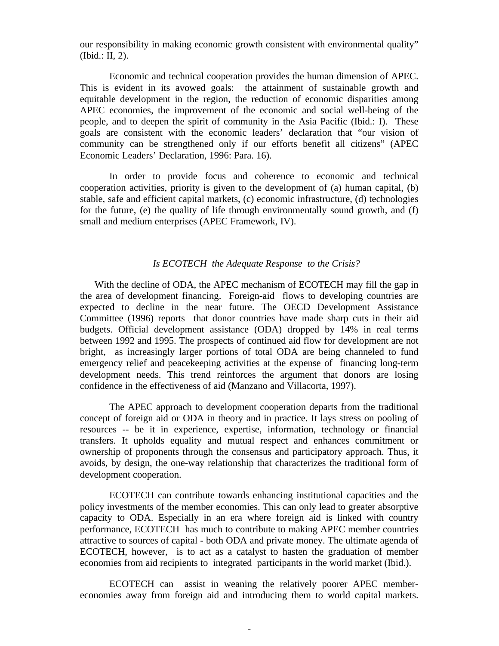our responsibility in making economic growth consistent with environmental quality" (Ibid.: II, 2).

Economic and technical cooperation provides the human dimension of APEC. This is evident in its avowed goals: the attainment of sustainable growth and equitable development in the region, the reduction of economic disparities among APEC economies, the improvement of the economic and social well-being of the people, and to deepen the spirit of community in the Asia Pacific (Ibid.: I). These goals are consistent with the economic leaders' declaration that "our vision of community can be strengthened only if our efforts benefit all citizens" (APEC Economic Leaders' Declaration, 1996: Para. 16).

In order to provide focus and coherence to economic and technical cooperation activities, priority is given to the development of (a) human capital, (b) stable, safe and efficient capital markets, (c) economic infrastructure, (d) technologies for the future, (e) the quality of life through environmentally sound growth, and (f) small and medium enterprises (APEC Framework, IV).

#### *Is ECOTECH the Adequate Response to the Crisis?*

With the decline of ODA, the APEC mechanism of ECOTECH may fill the gap in the area of development financing. Foreign-aid flows to developing countries are expected to decline in the near future. The OECD Development Assistance Committee (1996) reports that donor countries have made sharp cuts in their aid budgets. Official development assistance (ODA) dropped by 14% in real terms between 1992 and 1995. The prospects of continued aid flow for development are not bright, as increasingly larger portions of total ODA are being channeled to fund emergency relief and peacekeeping activities at the expense of financing long-term development needs. This trend reinforces the argument that donors are losing confidence in the effectiveness of aid (Manzano and Villacorta, 1997).

The APEC approach to development cooperation departs from the traditional concept of foreign aid or ODA in theory and in practice. It lays stress on pooling of resources -- be it in experience, expertise, information, technology or financial transfers. It upholds equality and mutual respect and enhances commitment or ownership of proponents through the consensus and participatory approach. Thus, it avoids, by design, the one-way relationship that characterizes the traditional form of development cooperation.

ECOTECH can contribute towards enhancing institutional capacities and the policy investments of the member economies. This can only lead to greater absorptive capacity to ODA. Especially in an era where foreign aid is linked with country performance, ECOTECH has much to contribute to making APEC member countries attractive to sources of capital - both ODA and private money. The ultimate agenda of ECOTECH, however, is to act as a catalyst to hasten the graduation of member economies from aid recipients to integrated participants in the world market (Ibid.).

ECOTECH can assist in weaning the relatively poorer APEC membereconomies away from foreign aid and introducing them to world capital markets.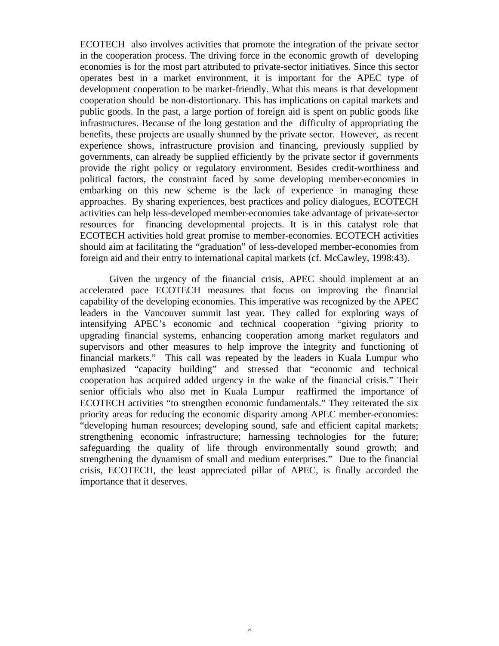ECOTECH also involves activities that promote the integration of the private sector in the cooperation process. The driving force in the economic growth of developing economies is for the most part attributed to private-sector initiatives. Since this sector operates best in a market environment, it is important for the APEC type of development cooperation to be market-friendly. What this means is that development cooperation should be non-distortionary. This has implications on capital markets and public goods. In the past, a large portion of foreign aid is spent on public goods like infrastructures. Because of the long gestation and the difficulty of appropriating the benefits, these projects are usually shunned by the private sector. However, as recent experience shows, infrastructure provision and financing, previously supplied by governments, can already be supplied efficiently by the private sector if governments provide the right policy or regulatory environment. Besides credit-worthiness and political factors, the constraint faced by some developing member-economies in embarking on this new scheme is the lack of experience in managing these approaches. By sharing experiences, best practices and policy dialogues, ECOTECH activities can help less-developed member-economies take advantage of private-sector resources for financing developmental projects. It is in this catalyst role that ECOTECH activities hold great promise to member-economies. ECOTECH activities should aim at facilitating the "graduation" of less-developed member-economies from foreign aid and their entry to international capital markets (cf. McCawley, 1998:43).

Given the urgency of the financial crisis, APEC should implement at an accelerated pace ECOTECH measures that focus on improving the financial capability of the developing economies. This imperative was recognized by the APEC leaders in the Vancouver summit last year. They called for exploring ways of intensifying APEC's economic and technical cooperation "giving priority to upgrading financial systems, enhancing cooperation among market regulators and supervisors and other measures to help improve the integrity and functioning of financial markets." This call was repeated by the leaders in Kuala Lumpur who emphasized "capacity building" and stressed that "economic and technical cooperation has acquired added urgency in the wake of the financial crisis." Their senior officials who also met in Kuala Lumpur reaffirmed the importance of ECOTECH activities "to strengthen economic fundamentals." They reiterated the six priority areas for reducing the economic disparity among APEC member-economies: "developing human resources; developing sound, safe and efficient capital markets; strengthening economic infrastructure; harnessing technologies for the future; safeguarding the quality of life through environmentally sound growth; and strengthening the dynamism of small and medium enterprises." Due to the financial crisis, ECOTECH, the least appreciated pillar of APEC, is finally accorded the importance that it deserves.

6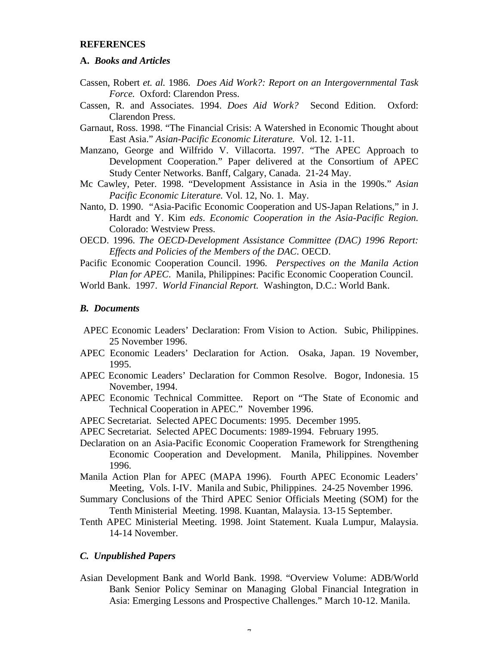#### **REFERENCES**

#### **A.** *Books and Articles*

- Cassen, Robert *et. al.* 1986. *Does Aid Work?: Report on an Intergovernmental Task Force.* Oxford: Clarendon Press.
- Cassen, R. and Associates. 1994. *Does Aid Work?* Second Edition. Oxford: Clarendon Press.
- Garnaut, Ross. 1998. "The Financial Crisis: A Watershed in Economic Thought about East Asia." *Asian-Pacific Economic Literature.* Vol. 12. 1-11.
- Manzano, George and Wilfrido V. Villacorta. 1997. "The APEC Approach to Development Cooperation." Paper delivered at the Consortium of APEC Study Center Networks. Banff, Calgary, Canada. 21-24 May.
- Mc Cawley, Peter. 1998. "Development Assistance in Asia in the 1990s." *Asian Pacific Economic Literature.* Vol. 12, No. 1. May.
- Nanto, D. 1990. "Asia-Pacific Economic Cooperation and US-Japan Relations," in J. Hardt and Y. Kim *eds*. *Economic Cooperation in the Asia-Pacific Region.* Colorado: Westview Press.
- OECD. 1996. *The OECD-Development Assistance Committee (DAC) 1996 Report: Effects and Policies of the Members of the DAC*. OECD.
- Pacific Economic Cooperation Council. 1996. *Perspectives on the Manila Action Plan for APEC*. Manila, Philippines: Pacific Economic Cooperation Council.

World Bank. 1997. *World Financial Report.* Washington, D.C.: World Bank.

#### *B. Documents*

- APEC Economic Leaders' Declaration: From Vision to Action. Subic, Philippines. 25 November 1996.
- APEC Economic Leaders' Declaration for Action. Osaka, Japan. 19 November, 1995.
- APEC Economic Leaders' Declaration for Common Resolve. Bogor, Indonesia. 15 November, 1994.
- APEC Economic Technical Committee. Report on "The State of Economic and Technical Cooperation in APEC." November 1996.
- APEC Secretariat. Selected APEC Documents: 1995. December 1995.
- APEC Secretariat. Selected APEC Documents: 1989-1994. February 1995.
- Declaration on an Asia-Pacific Economic Cooperation Framework for Strengthening Economic Cooperation and Development. Manila, Philippines. November 1996.
- Manila Action Plan for APEC (MAPA 1996). Fourth APEC Economic Leaders' Meeting, Vols. I-IV. Manila and Subic, Philippines. 24-25 November 1996.
- Summary Conclusions of the Third APEC Senior Officials Meeting (SOM) for the Tenth Ministerial Meeting. 1998. Kuantan, Malaysia. 13-15 September.
- Tenth APEC Ministerial Meeting. 1998. Joint Statement. Kuala Lumpur, Malaysia. 14-14 November.

#### *C. Unpublished Papers*

Asian Development Bank and World Bank. 1998. "Overview Volume: ADB/World Bank Senior Policy Seminar on Managing Global Financial Integration in Asia: Emerging Lessons and Prospective Challenges." March 10-12. Manila.